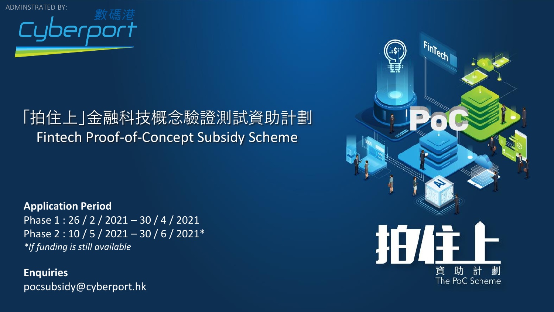

#### 「拍住上」金融科技概念驗證測試資助計劃 Fintech Proof-of-Concept Subsidy Scheme

**Application Period**  Phase 1: 26 / 2 / 2021 - 30 / 4 / 2021 Phase 2 : 10 / 5 / 2021 – 30 / 6 / 2021\* *\*If funding is still available*

**Enquiries** pocsubsidy@cyberport.hk

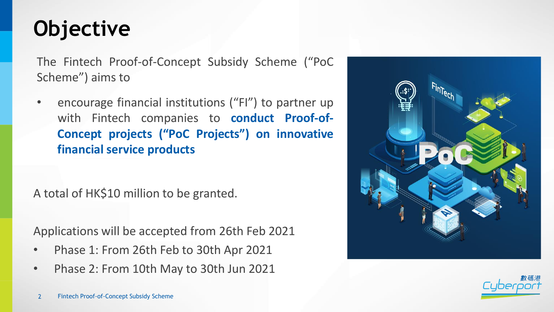## **Objective**

The Fintech Proof-of-Concept Subsidy Scheme ("PoC Scheme") aims to

encourage financial institutions ("FI") to partner up with Fintech companies to **conduct Proof-of-Concept projects ("PoC Projects") on innovative financial service products**

A total of HK\$10 million to be granted.

Applications will be accepted from 26th Feb 2021

- Phase 1: From 26th Feb to 30th Apr 2021
- Phase 2: From 10th May to 30th Jun 2021



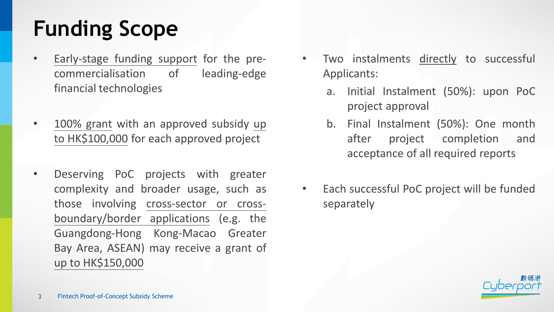# **Funding Scope**

- Early-stage funding support for the precommercialisation of leading-edge financial technologies
- 100% grant with an approved subsidy up to HK\$100,000 for each approved project
- Deserving PoC projects with greater complexity and broader usage, such as those involving cross-sector or crossboundary/border applications (e.g. the Guangdong-Hong Kong-Macao Greater Bay Area, ASEAN) may receive a grant of up to HK\$150,000
- Two instalments directly to successful Applicants:
	- a. Initial Instalment (50%): upon PoC project approval
	- b. Final Instalment (50%): One month after project completion and acceptance of all required reports
- Each successful PoC project will be funded separately

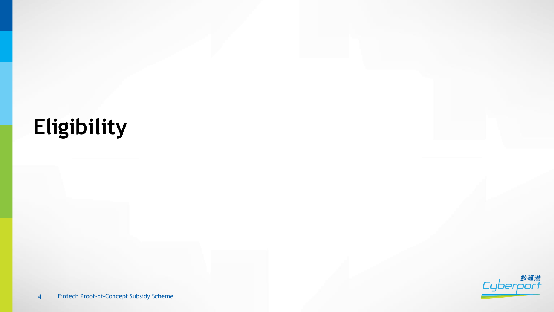# **Eligibility**

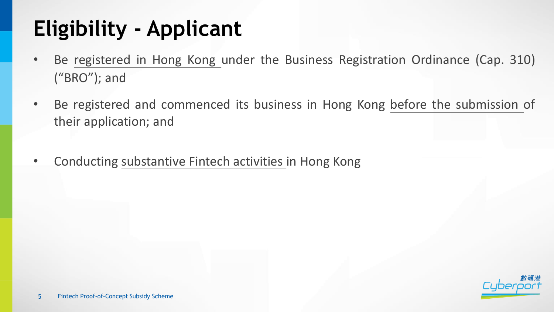# **Eligibility - Applicant**

- Be registered in Hong Kong under the Business Registration Ordinance (Cap. 310) ("BRO"); and
- Be registered and commenced its business in Hong Kong before the submission of their application; and
- Conducting substantive Fintech activities in Hong Kong

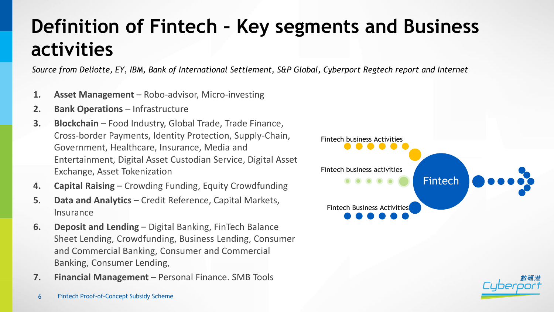#### **Definition of Fintech – Key segments and Business activities**

*Source from Deliotte, EY, IBM, Bank of International Settlement, S&P Global, Cyberport Regtech report and Internet*

- **1. Asset Management**  Robo-advisor, Micro-investing
- **2. Bank Operations** Infrastructure
- **3. Blockchain** Food Industry, Global Trade, Trade Finance, Cross-border Payments, Identity Protection, Supply-Chain, Government, Healthcare, Insurance, Media and Entertainment, Digital Asset Custodian Service, Digital Asset Exchange, Asset Tokenization
- **4. Capital Raising**  Crowding Funding, Equity Crowdfunding
- **5. Data and Analytics**  Credit Reference, Capital Markets, Insurance
- **6. Deposit and Lending**  Digital Banking, FinTech Balance Sheet Lending, Crowdfunding, Business Lending, Consumer and Commercial Banking, Consumer and Commercial Banking, Consumer Lending,
- **7. Financial Management**  Personal Finance. SMB Tools



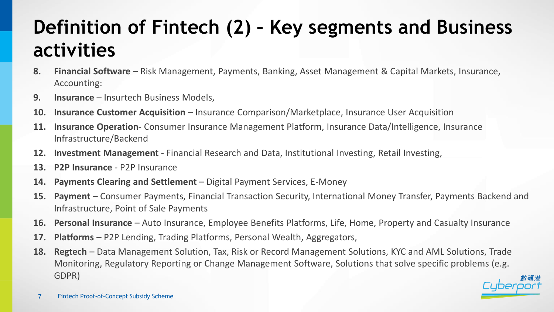#### **Definition of Fintech (2) – Key segments and Business activities**

- **8. Financial Software**  Risk Management, Payments, Banking, Asset Management & Capital Markets, Insurance, Accounting:
- **9. Insurance** Insurtech Business Models,
- **10. Insurance Customer Acquisition**  Insurance Comparison/Marketplace, Insurance User Acquisition
- **11. Insurance Operation-** Consumer Insurance Management Platform, Insurance Data/Intelligence, Insurance Infrastructure/Backend
- **12. Investment Management**  Financial Research and Data, Institutional Investing, Retail Investing,
- **13. P2P Insurance**  P2P Insurance
- **14. Payments Clearing and Settlement**  Digital Payment Services, E-Money
- **15. Payment** Consumer Payments, Financial Transaction Security, International Money Transfer, Payments Backend and Infrastructure, Point of Sale Payments
- **16. Personal Insurance**  Auto Insurance, Employee Benefits Platforms, Life, Home, Property and Casualty Insurance
- **17. Platforms**  P2P Lending, Trading Platforms, Personal Wealth, Aggregators,
- **18. Regtech** Data Management Solution, Tax, Risk or Record Management Solutions, KYC and AML Solutions, Trade Monitoring, Regulatory Reporting or Change Management Software, Solutions that solve specific problems (e.g. GDPR)

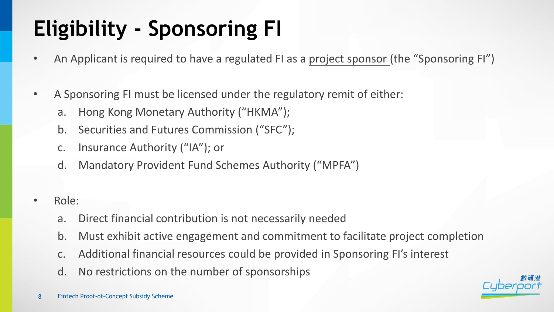# **Eligibility - Sponsoring FI**

- An Applicant is required to have a regulated FI as a project sponsor (the "Sponsoring FI")
- A Sponsoring FI must be licensed under the regulatory remit of either:
	- a. Hong Kong Monetary Authority ("HKMA");
	- b. Securities and Futures Commission ("SFC");
	- c. Insurance Authority ("IA"); or
	- d. Mandatory Provident Fund Schemes Authority ("MPFA")
- Role:
	- a. Direct financial contribution is not necessarily needed
	- b. Must exhibit active engagement and commitment to facilitate project completion
	- c. Additional financial resources could be provided in Sponsoring FI's interest
	- d. No restrictions on the number of sponsorships

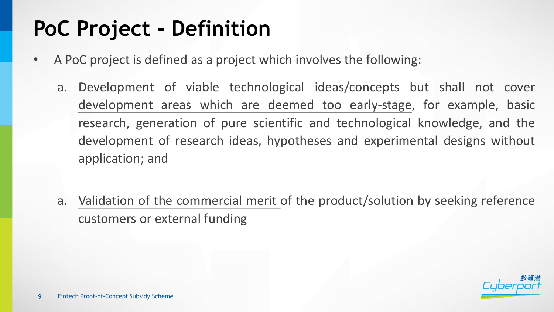## **PoC Project - Definition**

- A PoC project is defined as a project which involves the following:
	- a. Development of viable technological ideas/concepts but shall not cover development areas which are deemed too early-stage, for example, basic research, generation of pure scientific and technological knowledge, and the development of research ideas, hypotheses and experimental designs without application; and
	- a. Validation of the commercial merit of the product/solution by seeking reference customers or external funding

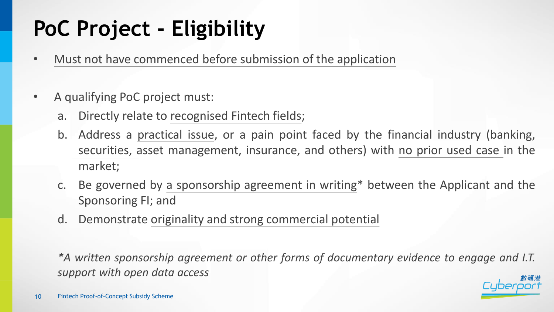# **PoC Project - Eligibility**

- Must not have commenced before submission of the application
- A qualifying PoC project must:
	- a. Directly relate to recognised Fintech fields;
	- b. Address a practical issue, or a pain point faced by the financial industry (banking, securities, asset management, insurance, and others) with no prior used case in the market;
	- c. Be governed by a sponsorship agreement in writing\* between the Applicant and the Sponsoring FI; and
	- d. Demonstrate originality and strong commercial potential

*\*A written sponsorship agreement or other forms of documentary evidence to engage and I.T. support with open data access*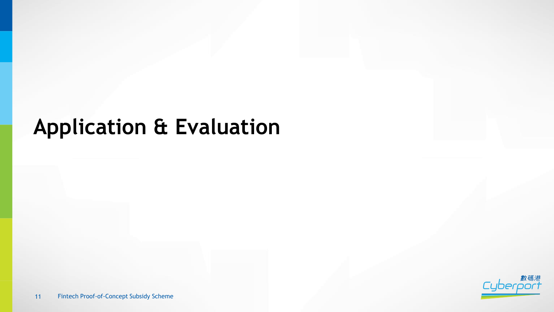#### **Application & Evaluation**

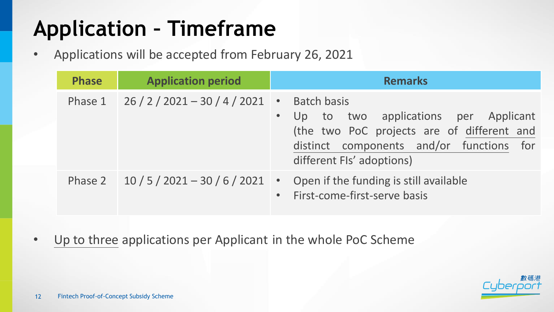# **Application – Timeframe**

• Applications will be accepted from February 26, 2021

| <b>Phase</b> | <b>Application period</b>                     | <b>Remarks</b>                                                                                                                                                                                              |
|--------------|-----------------------------------------------|-------------------------------------------------------------------------------------------------------------------------------------------------------------------------------------------------------------|
|              | Phase $1 \quad 26 / 2 / 2021 - 30 / 4 / 2021$ | <b>Batch basis</b><br>$\bullet$<br>Up to two applications per Applicant<br>$\bullet$<br>(the two PoC projects are of different and<br>distinct components and/or functions for<br>different FIs' adoptions) |
|              | Phase 2 $10/5/2021-30/6/2021$                 | • Open if the funding is still available<br>• First-come-first-serve basis                                                                                                                                  |

• Up to three applications per Applicant in the whole PoC Scheme

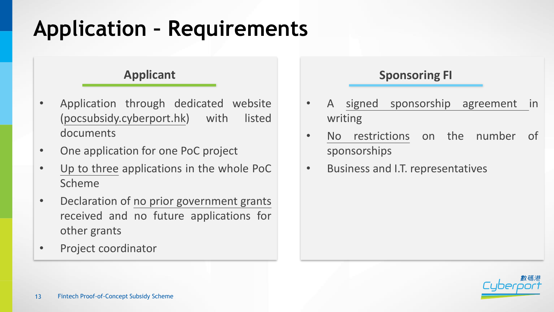## **Application – Requirements**

#### **Applicant**

- Application through dedicated website (pocsubsidy.cyberport.hk) with listed documents
- One application for one PoC project
- Up to three applications in the whole PoC Scheme
- Declaration of no prior government grants received and no future applications for other grants
- Project coordinator

#### **Sponsoring FI**

- A signed sponsorship agreement in writing
- No restrictions on the number of sponsorships
- Business and I.T. representatives

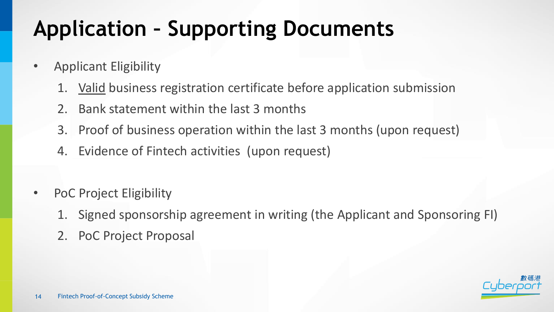# **Application – Supporting Documents**

- Applicant Eligibility
	- 1. Valid business registration certificate before application submission
	- 2. Bank statement within the last 3 months
	- 3. Proof of business operation within the last 3 months (upon request)
	- 4. Evidence of Fintech activities (upon request)
- PoC Project Eligibility
	- 1. Signed sponsorship agreement in writing (the Applicant and Sponsoring FI)
	- 2. PoC Project Proposal

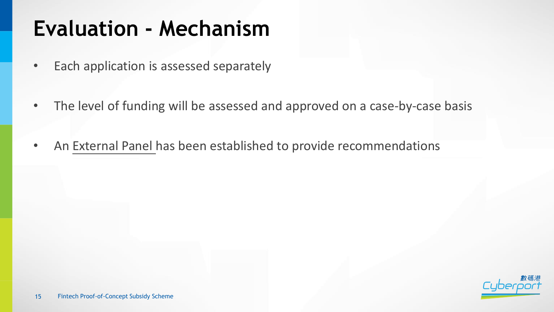#### **Evaluation - Mechanism**

- Each application is assessed separately
- The level of funding will be assessed and approved on a case-by-case basis
- An External Panel has been established to provide recommendations

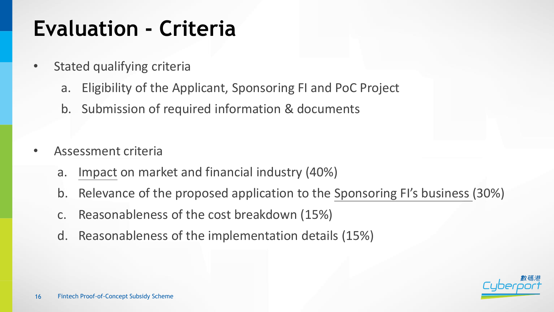#### **Evaluation - Criteria**

- Stated qualifying criteria
	- a. Eligibility of the Applicant, Sponsoring FI and PoC Project
	- b. Submission of required information & documents
- Assessment criteria
	- a. Impact on market and financial industry (40%)
	- b. Relevance of the proposed application to the Sponsoring FI's business (30%)
	- c. Reasonableness of the cost breakdown (15%)
	- d. Reasonableness of the implementation details (15%)

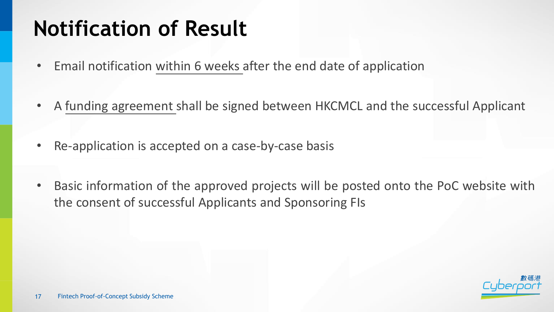### **Notification of Result**

- Email notification within 6 weeks after the end date of application
- A funding agreement shall be signed between HKCMCL and the successful Applicant
- Re-application is accepted on a case-by-case basis
- Basic information of the approved projects will be posted onto the PoC website with the consent of successful Applicants and Sponsoring FIs

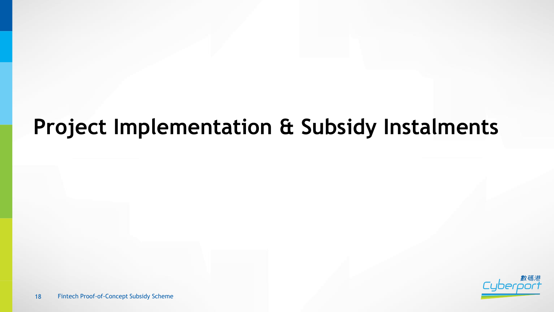#### **Project Implementation & Subsidy Instalments**

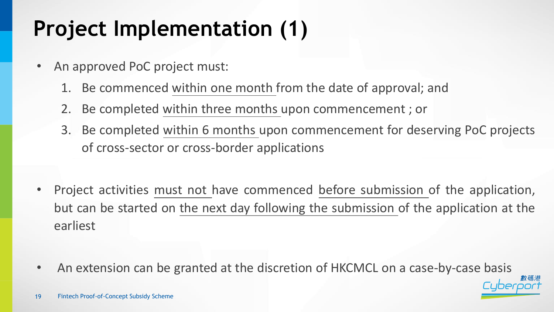# **Project Implementation (1)**

- An approved PoC project must:
	- 1. Be commenced within one month from the date of approval; and
	- 2. Be completed within three months upon commencement ; or
	- 3. Be completed within 6 months upon commencement for deserving PoC projects of cross-sector or cross-border applications
- Project activities must not have commenced before submission of the application, but can be started on the next day following the submission of the application at the earliest
- An extension can be granted at the discretion of HKCMCL on a case-by-case basis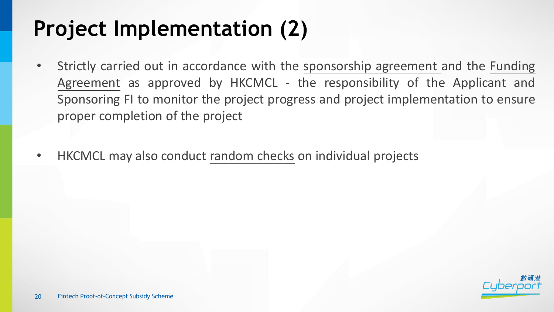### **Project Implementation (2)**

- Strictly carried out in accordance with the sponsorship agreement and the Funding Agreement as approved by HKCMCL - the responsibility of the Applicant and Sponsoring FI to monitor the project progress and project implementation to ensure proper completion of the project
- HKCMCL may also conduct random checks on individual projects

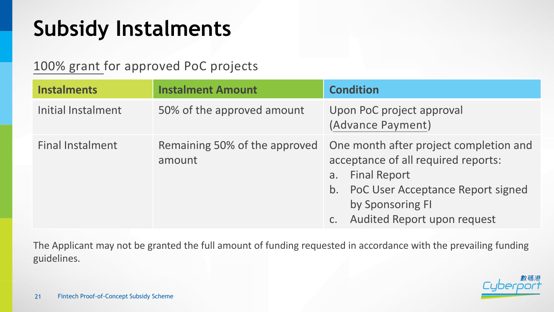#### **Subsidy Instalments**

100% grant for approved PoC projects

| <b>Instalments</b>      | <b>Instalment Amount</b>                | <b>Condition</b>                                                                                                                                                                                               |
|-------------------------|-----------------------------------------|----------------------------------------------------------------------------------------------------------------------------------------------------------------------------------------------------------------|
| Initial Instalment      | 50% of the approved amount              | Upon PoC project approval<br>(Advance Payment)                                                                                                                                                                 |
| <b>Final Instalment</b> | Remaining 50% of the approved<br>amount | One month after project completion and<br>acceptance of all required reports:<br><b>Final Report</b><br>a.<br>PoC User Acceptance Report signed<br>b.<br>by Sponsoring FI<br>Audited Report upon request<br>C. |

The Applicant may not be granted the full amount of funding requested in accordance with the prevailing funding guidelines.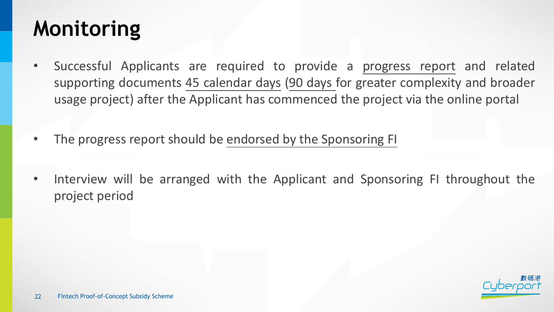#### **Monitoring**

- Successful Applicants are required to provide a progress report and related supporting documents 45 calendar days (90 days for greater complexity and broader usage project) after the Applicant has commenced the project via the online portal
- The progress report should be endorsed by the Sponsoring FI
- Interview will be arranged with the Applicant and Sponsoring FI throughout the project period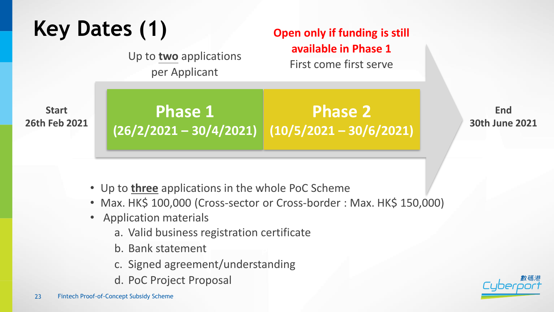# **Key Dates (1)**

Up to **two** applications per Applicant

**Open only if funding is still available in Phase 1** First come first serve

**Start 26th Feb 2021**

**Phase 1 (26/2/2021 – 30/4/2021) (10/5/2021 – 30/6/2021) Phase 2**

**End 30th June 2021**

- Up to **three** applications in the whole PoC Scheme
- Max. HK\$ 100,000 (Cross-sector or Cross-border : Max. HK\$ 150,000)
- Application materials
	- a. Valid business registration certificate
	- b. Bank statement
	- c. Signed agreement/understanding
	- d. PoC Project Proposal

23 Fintech Proof-of-Concept Subsidy Scheme

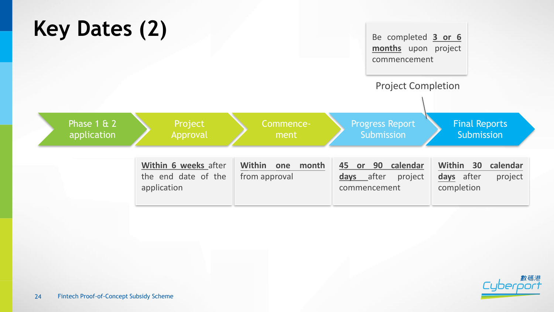

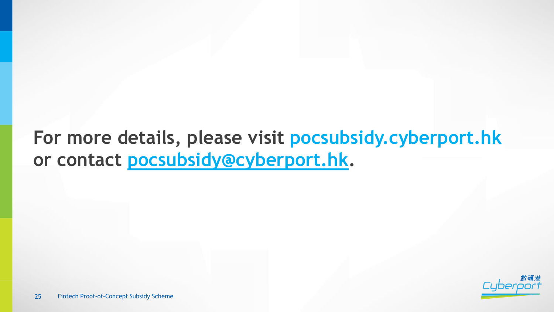#### **For more details, please visit pocsubsidy.cyberport.hk or contact [pocsubsidy@cyberport.hk](mailto:pocsubsidy@cyberport.hk).**

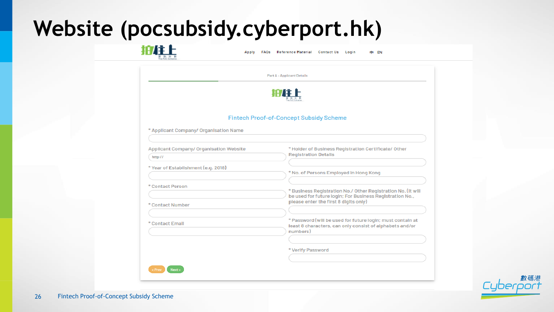#### **Website (pocsubsidy.cyberport.hk)**

101311-

|                                         | <b>Part A - Applicant Details</b>                                                                                        |
|-----------------------------------------|--------------------------------------------------------------------------------------------------------------------------|
|                                         |                                                                                                                          |
|                                         | 柏住上                                                                                                                      |
|                                         |                                                                                                                          |
|                                         | <b>Fintech Proof-of-Concept Subsidy Scheme</b>                                                                           |
|                                         |                                                                                                                          |
| * Applicant Company/ Organisation Name  |                                                                                                                          |
|                                         |                                                                                                                          |
| Applicant Company/ Organisation Website | * Holder of Business Registration Certificate/ Other                                                                     |
| http://                                 | <b>Registration Details</b>                                                                                              |
|                                         |                                                                                                                          |
| * Year of Establishment (e.g. 2018)     | * No. of Persons Employed In Hong Kong                                                                                   |
|                                         |                                                                                                                          |
| * Contact Person                        |                                                                                                                          |
|                                         | * Business Registration No./ Other Registration No. (It will<br>be used for future logIn; For Business Registration No., |
| * Contact Number                        | please enter the first 8 digits only)                                                                                    |
|                                         |                                                                                                                          |
| * Contact Email                         | * Password (will be used for future login; must contain at                                                               |
|                                         | least 8 characters, can only consist of alphabets and/or<br>numbers)                                                     |
|                                         |                                                                                                                          |
|                                         | * Verlfy Password                                                                                                        |
|                                         |                                                                                                                          |